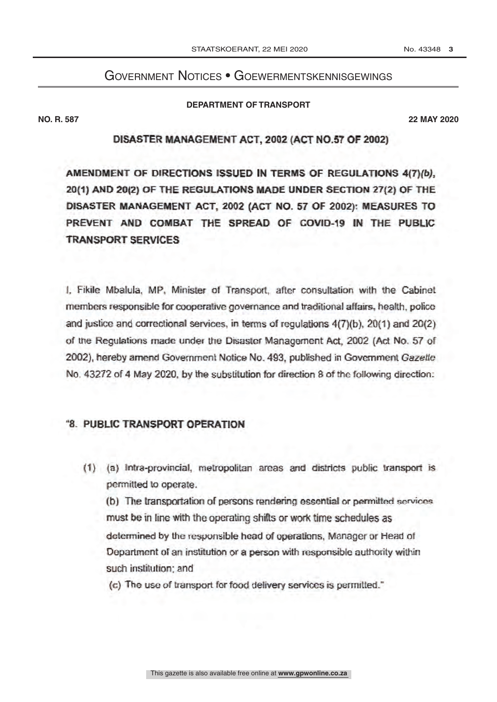## **GOVERNMENT NOTICES • GOEWERMENTSKENNISGEWINGS**

## **DEPARTMENT OF TRANSPORT**

**NO. R. 587** 

**22 MAY 2020** 

## DISASTER MANAGEMENT ACT, 2002 (ACT NO.57 OF 2002)

AMENDMENT OF DIRECTIONS ISSUED IN TERMS OF REGULATIONS 4(7)(b), 20(1) AND 20(2) OF THE REGULATIONS MADE UNDER SECTION 27(2) OF THE DISASTER MANAGEMENT ACT, 2002 (ACT NO. 57 OF 2002): MEASURES TO PREVENT AND COMBAT THE SPREAD OF COVID-19 IN THE PUBLIC **TRANSPORT SERVICES** 

I. Fikile Mbalula, MP, Minister of Transport, after consultation with the Cabinet members responsible for cooperative governance and traditional affairs, health, police and justice and correctional services, in terms of regulations 4(7)(b), 20(1) and 20(2) of the Regulations made under the Disaster Management Act, 2002 (Act No. 57 of 2002), hereby amend Government Notice No. 493, published in Government Gazette No. 43272 of 4 May 2020, by the substitution for direction 8 of the following direction:

## "8. PUBLIC TRANSPORT OPERATION

(1) (a) Intra-provincial, metropolitan areas and districts public transport is permitted to operate.

(b) The transportation of persons rendering essential or permitted services must be in line with the operating shifts or work time schedules as determined by the responsible head of operations, Manager or Head of Department of an institution or a person with responsible authority within such institution; and

(c) The use of transport for food delivery services is permitted."